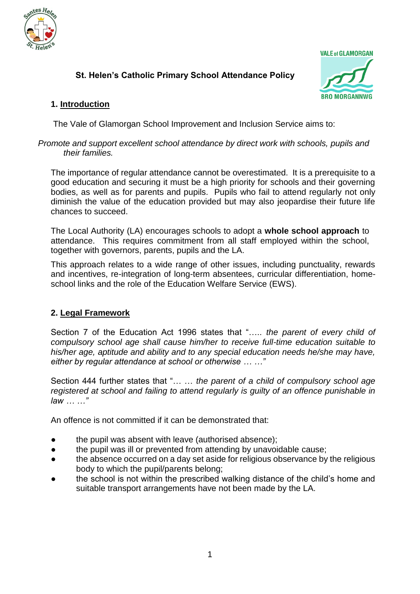

# **St. Helen's Catholic Primary School Attendance Policy**



# **1. Introduction**

The Vale of Glamorgan School Improvement and Inclusion Service aims to:

#### *Promote and support excellent school attendance by direct work with schools, pupils and their families.*

The importance of regular attendance cannot be overestimated. It is a prerequisite to a good education and securing it must be a high priority for schools and their governing bodies, as well as for parents and pupils. Pupils who fail to attend regularly not only diminish the value of the education provided but may also jeopardise their future life chances to succeed.

The Local Authority (LA) encourages schools to adopt a **whole school approach** to attendance. This requires commitment from all staff employed within the school, together with governors, parents, pupils and the LA.

This approach relates to a wide range of other issues, including punctuality, rewards and incentives, re-integration of long-term absentees, curricular differentiation, homeschool links and the role of the Education Welfare Service (EWS).

# **2. Legal Framework**

Section 7 of the Education Act 1996 states that "….. *the parent of every child of compulsory school age shall cause him/her to receive full-time education suitable to his/her age, aptitude and ability and to any special education needs he/she may have, either by regular attendance at school or otherwise … …"*

Section 444 further states that "… … *the parent of a child of compulsory school age registered at school and failing to attend regularly is guilty of an offence punishable in law … …"*

An offence is not committed if it can be demonstrated that:

- the pupil was absent with leave (authorised absence);
- the pupil was ill or prevented from attending by unavoidable cause;
- the absence occurred on a day set aside for religious observance by the religious body to which the pupil/parents belong;
- the school is not within the prescribed walking distance of the child's home and suitable transport arrangements have not been made by the LA.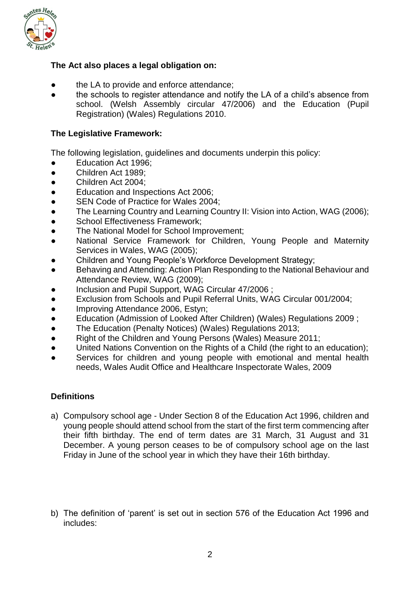

#### **The Act also places a legal obligation on:**

- the LA to provide and enforce attendance;
- the schools to register attendance and notify the LA of a child's absence from school. (Welsh Assembly circular 47/2006) and the Education (Pupil Registration) (Wales) Regulations 2010.

#### **The Legislative Framework:**

The following legislation, guidelines and documents underpin this policy:

- Education Act 1996;
- Children Act 1989;
- Children Act 2004:
- Education and Inspections Act 2006;
- SEN Code of Practice for Wales 2004;
- The Learning Country and Learning Country II: Vision into Action, WAG (2006);
- **School Effectiveness Framework:**
- The National Model for School Improvement;
- National Service Framework for Children, Young People and Maternity Services in Wales, WAG (2005);
- Children and Young People's Workforce Development Strategy;
- Behaving and Attending: Action Plan Responding to the National Behaviour and Attendance Review, WAG (2009);
- Inclusion and Pupil Support, WAG Circular 47/2006 ;
- Exclusion from Schools and Pupil Referral Units, WAG Circular 001/2004;
- Improving Attendance 2006, Estyn:
- Education (Admission of Looked After Children) (Wales) Regulations 2009 ;
- The Education (Penalty Notices) (Wales) Regulations 2013;
- Right of the Children and Young Persons (Wales) Measure 2011;
- United Nations Convention on the Rights of a Child (the right to an education);
- Services for children and young people with emotional and mental health needs, Wales Audit Office and Healthcare Inspectorate Wales, 2009

# **Definitions**

- a) Compulsory school age Under Section 8 of the Education Act 1996, children and young people should attend school from the start of the first term commencing after their fifth birthday. The end of term dates are 31 March, 31 August and 31 December. A young person ceases to be of compulsory school age on the last Friday in June of the school year in which they have their 16th birthday.
- b) The definition of 'parent' is set out in section 576 of the Education Act 1996 and includes: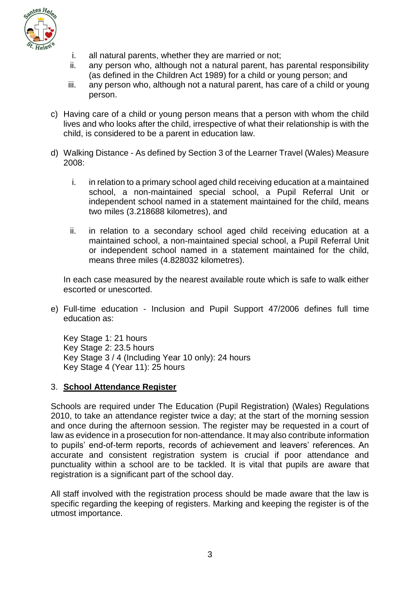

- i. all natural parents, whether they are married or not;
- ii. any person who, although not a natural parent, has parental responsibility (as defined in the Children Act 1989) for a child or young person; and
- iii. any person who, although not a natural parent, has care of a child or young person.
- c) Having care of a child or young person means that a person with whom the child lives and who looks after the child, irrespective of what their relationship is with the child, is considered to be a parent in education law.
- d) Walking Distance As defined by Section 3 of the Learner Travel (Wales) Measure 2008:
	- i. in relation to a primary school aged child receiving education at a maintained school, a non-maintained special school, a Pupil Referral Unit or independent school named in a statement maintained for the child, means two miles (3.218688 kilometres), and
	- ii. in relation to a secondary school aged child receiving education at a maintained school, a non-maintained special school, a Pupil Referral Unit or independent school named in a statement maintained for the child, means three miles (4.828032 kilometres).

In each case measured by the nearest available route which is safe to walk either escorted or unescorted.

e) Full-time education - Inclusion and Pupil Support 47/2006 defines full time education as:

Key Stage 1: 21 hours Key Stage 2: 23.5 hours Key Stage 3 / 4 (Including Year 10 only): 24 hours Key Stage 4 (Year 11): 25 hours

#### 3. **School Attendance Register**

Schools are required under The Education (Pupil Registration) (Wales) Regulations 2010, to take an attendance register twice a day; at the start of the morning session and once during the afternoon session. The register may be requested in a court of law as evidence in a prosecution for non-attendance. It may also contribute information to pupils' end-of-term reports, records of achievement and leavers' references. An accurate and consistent registration system is crucial if poor attendance and punctuality within a school are to be tackled. It is vital that pupils are aware that registration is a significant part of the school day.

All staff involved with the registration process should be made aware that the law is specific regarding the keeping of registers. Marking and keeping the register is of the utmost importance.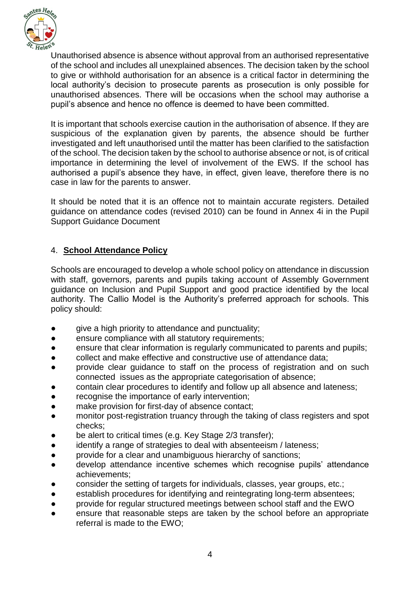

Unauthorised absence is absence without approval from an authorised representative of the school and includes all unexplained absences. The decision taken by the school to give or withhold authorisation for an absence is a critical factor in determining the local authority's decision to prosecute parents as prosecution is only possible for unauthorised absences. There will be occasions when the school may authorise a pupil's absence and hence no offence is deemed to have been committed.

It is important that schools exercise caution in the authorisation of absence. If they are suspicious of the explanation given by parents, the absence should be further investigated and left unauthorised until the matter has been clarified to the satisfaction of the school. The decision taken by the school to authorise absence or not, is of critical importance in determining the level of involvement of the EWS. If the school has authorised a pupil's absence they have, in effect, given leave, therefore there is no case in law for the parents to answer.

It should be noted that it is an offence not to maintain accurate registers. Detailed guidance on attendance codes (revised 2010) can be found in Annex 4i in the Pupil Support Guidance Document

# 4. **School Attendance Policy**

Schools are encouraged to develop a whole school policy on attendance in discussion with staff, governors, parents and pupils taking account of Assembly Government guidance on Inclusion and Pupil Support and good practice identified by the local authority. The Callio Model is the Authority's preferred approach for schools. This policy should:

- give a high priority to attendance and punctuality;
- ensure compliance with all statutory requirements;
- ensure that clear information is regularly communicated to parents and pupils;
- collect and make effective and constructive use of attendance data;
- provide clear guidance to staff on the process of registration and on such connected issues as the appropriate categorisation of absence;
- contain clear procedures to identify and follow up all absence and lateness;
- recognise the importance of early intervention;
- make provision for first-day of absence contact;
- monitor post-registration truancy through the taking of class registers and spot checks;
- be alert to critical times (e.g. Key Stage 2/3 transfer);
- identify a range of strategies to deal with absenteeism / lateness;
- provide for a clear and unambiguous hierarchy of sanctions;
- develop attendance incentive schemes which recognise pupils' attendance achievements;
- consider the setting of targets for individuals, classes, year groups, etc.;
- establish procedures for identifying and reintegrating long-term absentees;
- provide for regular structured meetings between school staff and the EWO
- ensure that reasonable steps are taken by the school before an appropriate referral is made to the EWO;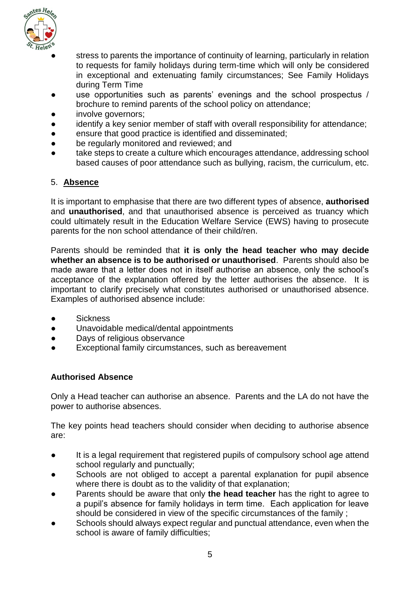

- stress to parents the importance of continuity of learning, particularly in relation to requests for family holidays during term-time which will only be considered in exceptional and extenuating family circumstances; See Family Holidays during Term Time
- use opportunities such as parents' evenings and the school prospectus / brochure to remind parents of the school policy on attendance;
- involve governors;
- identify a key senior member of staff with overall responsibility for attendance;
- ensure that good practice is identified and disseminated;
- be regularly monitored and reviewed; and
- take steps to create a culture which encourages attendance, addressing school based causes of poor attendance such as bullying, racism, the curriculum, etc.

#### 5. **Absence**

It is important to emphasise that there are two different types of absence, **authorised** and **unauthorised**, and that unauthorised absence is perceived as truancy which could ultimately result in the Education Welfare Service (EWS) having to prosecute parents for the non school attendance of their child/ren.

Parents should be reminded that **it is only the head teacher who may decide whether an absence is to be authorised or unauthorised**. Parents should also be made aware that a letter does not in itself authorise an absence, only the school's acceptance of the explanation offered by the letter authorises the absence. It is important to clarify precisely what constitutes authorised or unauthorised absence. Examples of authorised absence include:

- **Sickness**
- Unavoidable medical/dental appointments
- Days of religious observance
- Exceptional family circumstances, such as bereavement

# **Authorised Absence**

Only a Head teacher can authorise an absence. Parents and the LA do not have the power to authorise absences.

The key points head teachers should consider when deciding to authorise absence are:

- It is a legal requirement that registered pupils of compulsory school age attend school regularly and punctually;
- Schools are not obliged to accept a parental explanation for pupil absence where there is doubt as to the validity of that explanation;
- Parents should be aware that only the head teacher has the right to agree to a pupil's absence for family holidays in term time. Each application for leave should be considered in view of the specific circumstances of the family ;
- Schools should always expect regular and punctual attendance, even when the school is aware of family difficulties;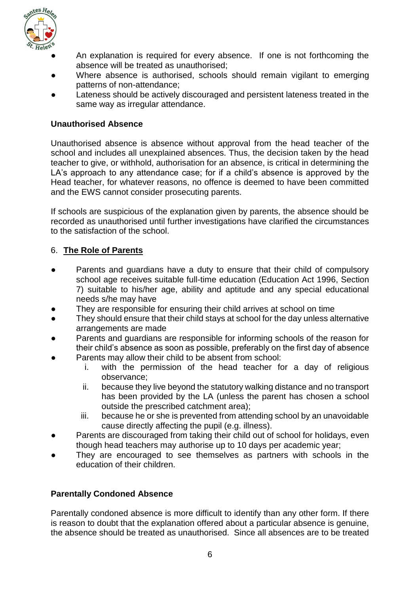

- An explanation is required for every absence. If one is not forthcoming the absence will be treated as unauthorised;
- Where absence is authorised, schools should remain vigilant to emerging patterns of non-attendance;
- Lateness should be actively discouraged and persistent lateness treated in the same way as irregular attendance.

#### **Unauthorised Absence**

Unauthorised absence is absence without approval from the head teacher of the school and includes all unexplained absences. Thus, the decision taken by the head teacher to give, or withhold, authorisation for an absence, is critical in determining the LA's approach to any attendance case; for if a child's absence is approved by the Head teacher, for whatever reasons, no offence is deemed to have been committed and the EWS cannot consider prosecuting parents.

If schools are suspicious of the explanation given by parents, the absence should be recorded as unauthorised until further investigations have clarified the circumstances to the satisfaction of the school.

# 6. **The Role of Parents**

- Parents and guardians have a duty to ensure that their child of compulsory school age receives suitable full-time education (Education Act 1996, Section 7) suitable to his/her age, ability and aptitude and any special educational needs s/he may have
- They are responsible for ensuring their child arrives at school on time
- They should ensure that their child stays at school for the day unless alternative arrangements are made
- Parents and guardians are responsible for informing schools of the reason for their child's absence as soon as possible, preferably on the first day of absence
- Parents may allow their child to be absent from school:
	- i. with the permission of the head teacher for a day of religious observance;
	- ii. because they live beyond the statutory walking distance and no transport has been provided by the LA (unless the parent has chosen a school outside the prescribed catchment area);
	- iii. because he or she is prevented from attending school by an unavoidable cause directly affecting the pupil (e.g. illness).
- Parents are discouraged from taking their child out of school for holidays, even though head teachers may authorise up to 10 days per academic year;
- They are encouraged to see themselves as partners with schools in the education of their children.

# **Parentally Condoned Absence**

Parentally condoned absence is more difficult to identify than any other form. If there is reason to doubt that the explanation offered about a particular absence is genuine, the absence should be treated as unauthorised. Since all absences are to be treated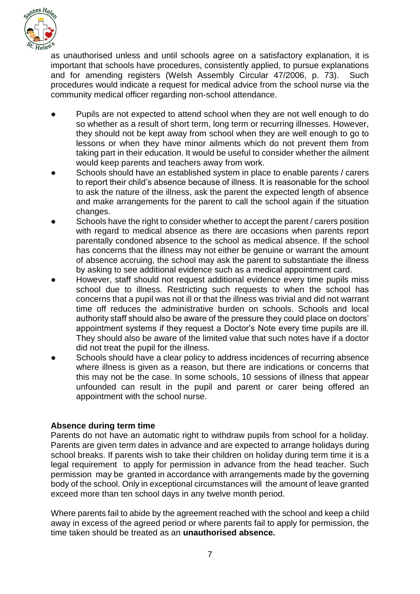

as unauthorised unless and until schools agree on a satisfactory explanation, it is important that schools have procedures, consistently applied, to pursue explanations and for amending registers (Welsh Assembly Circular 47/2006, p. 73). Such procedures would indicate a request for medical advice from the school nurse via the community medical officer regarding non-school attendance.

- Pupils are not expected to attend school when they are not well enough to do so whether as a result of short term, long term or recurring illnesses. However, they should not be kept away from school when they are well enough to go to lessons or when they have minor ailments which do not prevent them from taking part in their education. It would be useful to consider whether the ailment would keep parents and teachers away from work.
- Schools should have an established system in place to enable parents / carers to report their child's absence because of illness. It is reasonable for the school to ask the nature of the illness, ask the parent the expected length of absence and make arrangements for the parent to call the school again if the situation changes.
- Schools have the right to consider whether to accept the parent / carers position with regard to medical absence as there are occasions when parents report parentally condoned absence to the school as medical absence. If the school has concerns that the illness may not either be genuine or warrant the amount of absence accruing, the school may ask the parent to substantiate the illness by asking to see additional evidence such as a medical appointment card.
- However, staff should not request additional evidence every time pupils miss school due to illness. Restricting such requests to when the school has concerns that a pupil was not ill or that the illness was trivial and did not warrant time off reduces the administrative burden on schools. Schools and local authority staff should also be aware of the pressure they could place on doctors' appointment systems if they request a Doctor's Note every time pupils are ill. They should also be aware of the limited value that such notes have if a doctor did not treat the pupil for the illness.
- Schools should have a clear policy to address incidences of recurring absence where illness is given as a reason, but there are indications or concerns that this may not be the case. In some schools, 10 sessions of illness that appear unfounded can result in the pupil and parent or carer being offered an appointment with the school nurse.

# **Absence during term time**

Parents do not have an automatic right to withdraw pupils from school for a holiday. Parents are given term dates in advance and are expected to arrange holidays during school breaks. If parents wish to take their children on holiday during term time it is a legal requirement to apply for permission in advance from the head teacher. Such permission may be granted in accordance with arrangements made by the governing body of the school. Only in exceptional circumstances will the amount of leave granted exceed more than ten school days in any twelve month period.

Where parents fail to abide by the agreement reached with the school and keep a child away in excess of the agreed period or where parents fail to apply for permission, the time taken should be treated as an **unauthorised absence.**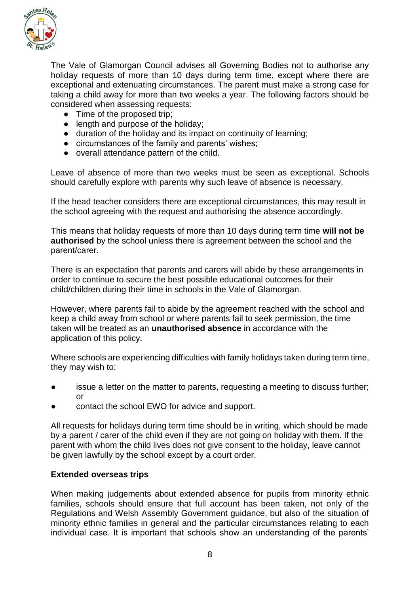

The Vale of Glamorgan Council advises all Governing Bodies not to authorise any holiday requests of more than 10 days during term time, except where there are exceptional and extenuating circumstances. The parent must make a strong case for taking a child away for more than two weeks a year. The following factors should be considered when assessing requests:

- Time of the proposed trip;
- length and purpose of the holiday;
- duration of the holiday and its impact on continuity of learning;
- circumstances of the family and parents' wishes;
- overall attendance pattern of the child.

Leave of absence of more than two weeks must be seen as exceptional. Schools should carefully explore with parents why such leave of absence is necessary.

If the head teacher considers there are exceptional circumstances, this may result in the school agreeing with the request and authorising the absence accordingly.

This means that holiday requests of more than 10 days during term time **will not be authorised** by the school unless there is agreement between the school and the parent/carer.

There is an expectation that parents and carers will abide by these arrangements in order to continue to secure the best possible educational outcomes for their child/children during their time in schools in the Vale of Glamorgan.

However, where parents fail to abide by the agreement reached with the school and keep a child away from school or where parents fail to seek permission, the time taken will be treated as an **unauthorised absence** in accordance with the application of this policy.

Where schools are experiencing difficulties with family holidays taken during term time, they may wish to:

- issue a letter on the matter to parents, requesting a meeting to discuss further; or
- contact the school EWO for advice and support.

All requests for holidays during term time should be in writing, which should be made by a parent / carer of the child even if they are not going on holiday with them. If the parent with whom the child lives does not give consent to the holiday, leave cannot be given lawfully by the school except by a court order.

#### **Extended overseas trips**

When making judgements about extended absence for pupils from minority ethnic families, schools should ensure that full account has been taken, not only of the Regulations and Welsh Assembly Government guidance, but also of the situation of minority ethnic families in general and the particular circumstances relating to each individual case. It is important that schools show an understanding of the parents'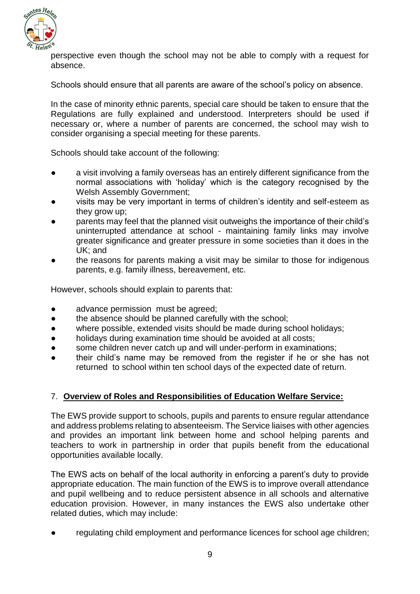

perspective even though the school may not be able to comply with a request for absence.

Schools should ensure that all parents are aware of the school's policy on absence.

In the case of minority ethnic parents, special care should be taken to ensure that the Regulations are fully explained and understood. Interpreters should be used if necessary or, where a number of parents are concerned, the school may wish to consider organising a special meeting for these parents.

Schools should take account of the following:

- a visit involving a family overseas has an entirely different significance from the normal associations with 'holiday' which is the category recognised by the Welsh Assembly Government;
- visits may be very important in terms of children's identity and self-esteem as they grow up;
- parents may feel that the planned visit outweighs the importance of their child's uninterrupted attendance at school - maintaining family links may involve greater significance and greater pressure in some societies than it does in the UK; and
- the reasons for parents making a visit may be similar to those for indigenous parents, e.g. family illness, bereavement, etc.

However, schools should explain to parents that:

- advance permission must be agreed:
- the absence should be planned carefully with the school;
- where possible, extended visits should be made during school holidays;
- holidays during examination time should be avoided at all costs;
- some children never catch up and will under-perform in examinations;
- their child's name may be removed from the register if he or she has not returned to school within ten school days of the expected date of return.

#### 7. **Overview of Roles and Responsibilities of Education Welfare Service:**

The EWS provide support to schools, pupils and parents to ensure regular attendance and address problems relating to absenteeism. The Service liaises with other agencies and provides an important link between home and school helping parents and teachers to work in partnership in order that pupils benefit from the educational opportunities available locally.

The EWS acts on behalf of the local authority in enforcing a parent's duty to provide appropriate education. The main function of the EWS is to improve overall attendance and pupil wellbeing and to reduce persistent absence in all schools and alternative education provision. However, in many instances the EWS also undertake other related duties, which may include:

regulating child employment and performance licences for school age children;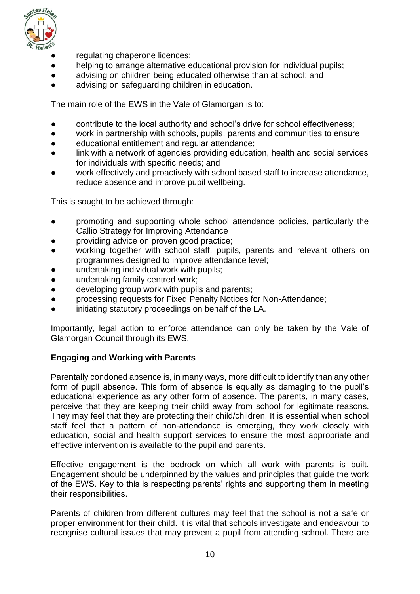

- regulating chaperone licences;
- helping to arrange alternative educational provision for individual pupils;
- advising on children being educated otherwise than at school: and
- advising on safeguarding children in education.

The main role of the EWS in the Vale of Glamorgan is to:

- contribute to the local authority and school's drive for school effectiveness;
- work in partnership with schools, pupils, parents and communities to ensure
- educational entitlement and regular attendance;
- link with a network of agencies providing education, health and social services for individuals with specific needs; and
- work effectively and proactively with school based staff to increase attendance, reduce absence and improve pupil wellbeing.

This is sought to be achieved through:

- promoting and supporting whole school attendance policies, particularly the Callio Strategy for Improving Attendance
- providing advice on proven good practice;
- working together with school staff, pupils, parents and relevant others on programmes designed to improve attendance level;
- undertaking individual work with pupils;
- undertaking family centred work;
- developing group work with pupils and parents;
- processing requests for Fixed Penalty Notices for Non-Attendance;
- initiating statutory proceedings on behalf of the LA.

Importantly, legal action to enforce attendance can only be taken by the Vale of Glamorgan Council through its EWS.

#### **Engaging and Working with Parents**

Parentally condoned absence is, in many ways, more difficult to identify than any other form of pupil absence. This form of absence is equally as damaging to the pupil's educational experience as any other form of absence. The parents, in many cases, perceive that they are keeping their child away from school for legitimate reasons. They may feel that they are protecting their child/children. It is essential when school staff feel that a pattern of non-attendance is emerging, they work closely with education, social and health support services to ensure the most appropriate and effective intervention is available to the pupil and parents.

Effective engagement is the bedrock on which all work with parents is built. Engagement should be underpinned by the values and principles that guide the work of the EWS. Key to this is respecting parents' rights and supporting them in meeting their responsibilities.

Parents of children from different cultures may feel that the school is not a safe or proper environment for their child. It is vital that schools investigate and endeavour to recognise cultural issues that may prevent a pupil from attending school. There are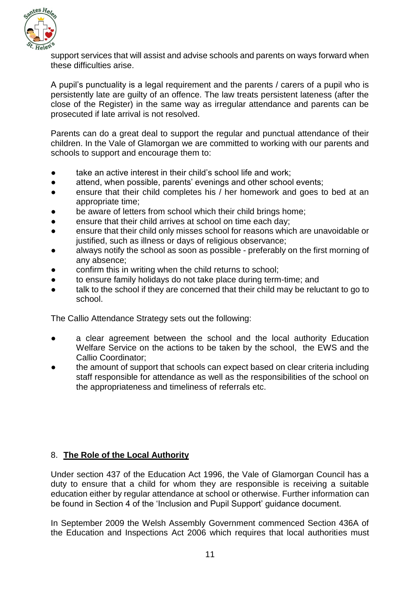

support services that will assist and advise schools and parents on ways forward when these difficulties arise.

A pupil's punctuality is a legal requirement and the parents / carers of a pupil who is persistently late are guilty of an offence. The law treats persistent lateness (after the close of the Register) in the same way as irregular attendance and parents can be prosecuted if late arrival is not resolved.

Parents can do a great deal to support the regular and punctual attendance of their children. In the Vale of Glamorgan we are committed to working with our parents and schools to support and encourage them to:

- take an active interest in their child's school life and work;
- attend, when possible, parents' evenings and other school events;
- ensure that their child completes his / her homework and goes to bed at an appropriate time;
- be aware of letters from school which their child brings home;
- ensure that their child arrives at school on time each day:
- ensure that their child only misses school for reasons which are unavoidable or justified, such as illness or days of religious observance;
- always notify the school as soon as possible preferably on the first morning of any absence;
- confirm this in writing when the child returns to school;
- to ensure family holidays do not take place during term-time; and
- talk to the school if they are concerned that their child may be reluctant to go to school.

The Callio Attendance Strategy sets out the following:

- a clear agreement between the school and the local authority Education Welfare Service on the actions to be taken by the school, the EWS and the Callio Coordinator;
- the amount of support that schools can expect based on clear criteria including staff responsible for attendance as well as the responsibilities of the school on the appropriateness and timeliness of referrals etc.

# 8. **The Role of the Local Authority**

Under section 437 of the Education Act 1996, the Vale of Glamorgan Council has a duty to ensure that a child for whom they are responsible is receiving a suitable education either by regular attendance at school or otherwise. Further information can be found in Section 4 of the 'Inclusion and Pupil Support' guidance document.

In September 2009 the Welsh Assembly Government commenced Section 436A of the Education and Inspections Act 2006 which requires that local authorities must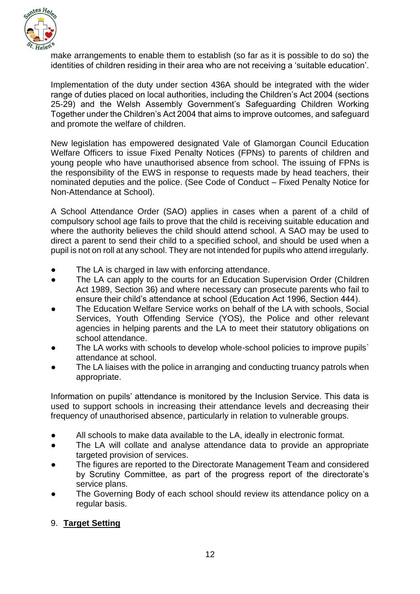

make arrangements to enable them to establish (so far as it is possible to do so) the identities of children residing in their area who are not receiving a 'suitable education'.

Implementation of the duty under section 436A should be integrated with the wider range of duties placed on local authorities, including the Children's Act 2004 (sections 25-29) and the Welsh Assembly Government's Safeguarding Children Working Together under the Children's Act 2004 that aims to improve outcomes, and safeguard and promote the welfare of children.

New legislation has empowered designated Vale of Glamorgan Council Education Welfare Officers to issue Fixed Penalty Notices (FPNs) to parents of children and young people who have unauthorised absence from school. The issuing of FPNs is the responsibility of the EWS in response to requests made by head teachers, their nominated deputies and the police. (See Code of Conduct – Fixed Penalty Notice for Non-Attendance at School).

A School Attendance Order (SAO) applies in cases when a parent of a child of compulsory school age fails to prove that the child is receiving suitable education and where the authority believes the child should attend school. A SAO may be used to direct a parent to send their child to a specified school, and should be used when a pupil is not on roll at any school. They are not intended for pupils who attend irregularly.

- The LA is charged in law with enforcing attendance.
- The LA can apply to the courts for an Education Supervision Order (Children Act 1989, Section 36) and where necessary can prosecute parents who fail to ensure their child's attendance at school (Education Act 1996, Section 444).
- The Education Welfare Service works on behalf of the LA with schools, Social Services, Youth Offending Service (YOS), the Police and other relevant agencies in helping parents and the LA to meet their statutory obligations on school attendance.
- The LA works with schools to develop whole-school policies to improve pupils` attendance at school.
- The LA liaises with the police in arranging and conducting truancy patrols when appropriate.

Information on pupils' attendance is monitored by the Inclusion Service. This data is used to support schools in increasing their attendance levels and decreasing their frequency of unauthorised absence, particularly in relation to vulnerable groups.

- All schools to make data available to the LA, ideally in electronic format.
- The LA will collate and analyse attendance data to provide an appropriate targeted provision of services.
- The figures are reported to the Directorate Management Team and considered by Scrutiny Committee, as part of the progress report of the directorate's service plans.
- The Governing Body of each school should review its attendance policy on a regular basis.

# 9. **Target Setting**